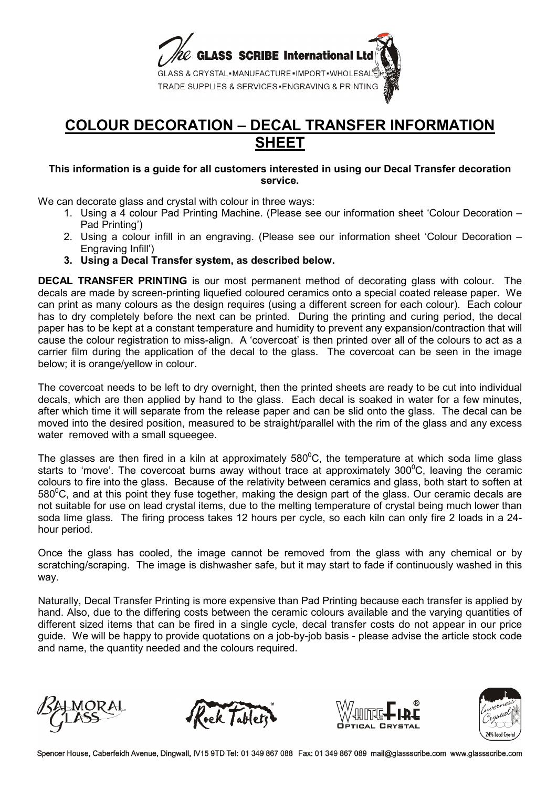

## **COLOUR DECORATION – DECAL TRANSFER INFORMATION SHEET**

## **This information is a guide for all customers interested in using our Decal Transfer decoration service.**

We can decorate glass and crystal with colour in three ways:

- 1. Using a 4 colour Pad Printing Machine. (Please see our information sheet 'Colour Decoration Pad Printing')
- 2. Using a colour infill in an engraving. (Please see our information sheet 'Colour Decoration Engraving Infill')
- **3. Using a Decal Transfer system, as described below.**

**DECAL TRANSFER PRINTING** is our most permanent method of decorating glass with colour. The decals are made by screen-printing liquefied coloured ceramics onto a special coated release paper. We can print as many colours as the design requires (using a different screen for each colour). Each colour has to dry completely before the next can be printed. During the printing and curing period, the decal paper has to be kept at a constant temperature and humidity to prevent any expansion/contraction that will cause the colour registration to miss-align. A 'covercoat' is then printed over all of the colours to act as a carrier film during the application of the decal to the glass. The covercoat can be seen in the image below; it is orange/yellow in colour.

The covercoat needs to be left to dry overnight, then the printed sheets are ready to be cut into individual decals, which are then applied by hand to the glass. Each decal is soaked in water for a few minutes, after which time it will separate from the release paper and can be slid onto the glass. The decal can be moved into the desired position, measured to be straight/parallel with the rim of the glass and any excess water removed with a small squeegee.

The glasses are then fired in a kiln at approximately  $580^{\circ}$ C, the temperature at which soda lime glass starts to 'move'. The covercoat burns away without trace at approximately  $300^{\circ}$ C, leaving the ceramic colours to fire into the glass. Because of the relativity between ceramics and glass, both start to soften at 580<sup>°</sup>C, and at this point they fuse together, making the design part of the glass. Our ceramic decals are not suitable for use on lead crystal items, due to the melting temperature of crystal being much lower than soda lime glass. The firing process takes 12 hours per cycle, so each kiln can only fire 2 loads in a 24 hour period.

Once the glass has cooled, the image cannot be removed from the glass with any chemical or by scratching/scraping. The image is dishwasher safe, but it may start to fade if continuously washed in this way.

Naturally, Decal Transfer Printing is more expensive than Pad Printing because each transfer is applied by hand. Also, due to the differing costs between the ceramic colours available and the varying quantities of different sized items that can be fired in a single cycle, decal transfer costs do not appear in our price guide. We will be happy to provide quotations on a job-by-job basis - please advise the article stock code and name, the quantity needed and the colours required.